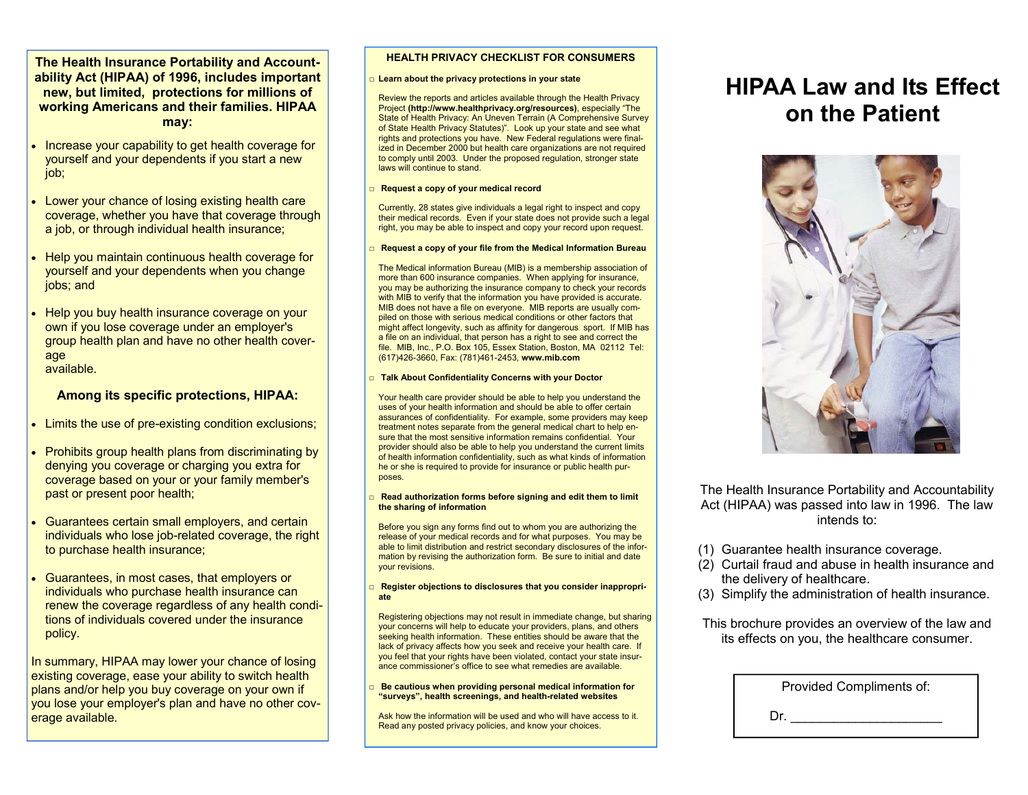## **The Health Insurance Portability and Accountability Act (HIPAA) of 1996, includes important new, but limited, protections for millions of working Americans and their families. HIPAA may:**

- Increase your capability to get health coverage for yourself and your dependents if you start a new job;
- Lower your chance of losing existing health care coverage, whether you have that coverage through a job, or through individual health insurance;
- Help you maintain continuous health coverage for yourself and your dependents when you change jobs; and
- Help you buy health insurance coverage on your own if you lose coverage under an employer's group health plan and have no other health coverage available.

## **Among its specific protections, HIPAA:**

- Limits the use of pre-existing condition exclusions;
- Prohibits group health plans from discriminating by denying you coverage or charging you extra for coverage based on your or your family member's past or present poor health;
- Guarantees certain small employers, and certain individuals who lose job-related coverage, the right to purchase health insurance;
- Guarantees, in most cases, that employers or individuals who purchase health insurance can renew the coverage regardless of any health conditions of individuals covered under the insurance policy.

In summary, HIPAA may lower your chance of losing existing coverage, ease your ability to switch health plans and/or help you buy coverage on your own if you lose your employer's plan and have no other coverage available.

## **HEALTH PRIVACY CHECKLIST FOR CONSUMERS**

#### □ **Learn about the privacy protections in your state**

Review the reports and articles available through the Health Privacy Project **(http://www.healthprivacy.org/resources)**, especially "The State of Health Privacy: An Uneven Terrain (A Comprehensive Survey of State Health Privacy Statutes)". Look up your state and see what rights and protections you have. New Federal regulations were finalized in December 2000 but health care organizations are not required to comply until 2003. Under the proposed regulation, stronger state laws will continue to stand.

#### □ **Request a copy of your medical record**

Currently, 28 states give individuals a legal right to inspect and copy their medical records. Even if your state does not provide such a legal right, you may be able to inspect and copy your record upon request.

#### □ Request a copy of your file from the Medical Information Bureau

The Medical information Bureau (MIB) is a membership association of more than 600 insurance companies. When applying for insurance, you may be authorizing the insurance company to check your records with MIB to verify that the information you have provided is accurate. MIB does not have a file on everyone. MIB reports are usually compiled on those with serious medical conditions or other factors that might affect longevity, such as affinity for dangerous sport. If MIB has a file on an individual, that person has a right to see and correct the file. MIB, Inc., P.O. Box 105, Essex Station, Boston, MA 02112 Tel: (617)426-3660, Fax: (781)461-2453, **www.mib.com** 

#### □ Talk About Confidentiality Concerns with your Doctor

Your health care provider should be able to help you understand the uses of your health information and should be able to offer certain assurances of confidentiality. For example, some providers may keep treatment notes separate from the general medical chart to help ensure that the most sensitive information remains confidential. Your provider should also be able to help you understand the current limits of health information confidentiality, such as what kinds of information he or she is required to provide for insurance or public health purposes.

#### □ **Read authorization forms before signing and edit them to limit the sharing of information**

Before you sign any forms find out to whom you are authorizing the release of your medical records and for what purposes. You may be able to limit distribution and restrict secondary disclosures of the information by revising the authorization form. Be sure to initial and date your revisions.

#### □ **Register objections to disclosures that you consider inappropriate**

Registering objections may not result in immediate change, but sharing your concerns will help to educate your providers, plans, and others seeking health information. These entities should be aware that the lack of privacy affects how you seek and receive your health care. If you feel that your rights have been violated, contact your state insurance commissioner's office to see what remedies are available.

#### □ Be cautious when providing personal medical information for **"surveys", health screenings, and health-related websites**

Ask how the information will be used and who will have access to it. Read any posted privacy policies, and know your choices.

# **HIPAA Law and Its Effect on the Patient**



The Health Insurance Portability and Accountability Act (HIPAA) was passed into law in 1996. The law intends to:

- (1) Guarantee health insurance coverage.
- (2) Curtail fraud and abuse in health insurance and the delivery of healthcare.
- (3) Simplify the administration of health insurance.
- This brochure provides an overview of the law and its effects on you, the healthcare consumer.

| Provided Compliments of: |
|--------------------------|
|                          |